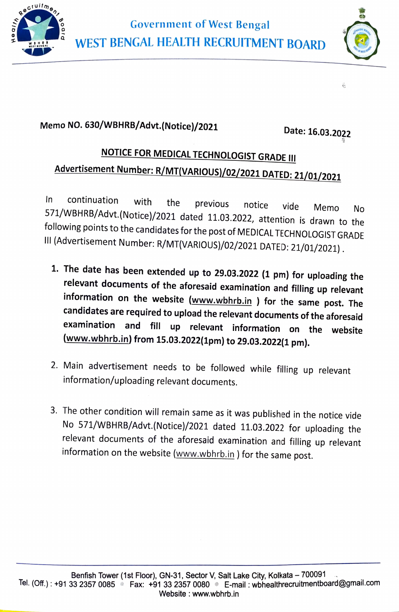



ŝ,

## Memo NO. 630/WBHRB/Advt.(Notice)/2021 Date: 16.03.2022

## NOTICE FOR MEDICAL TECHNOLOGIST GRADE II Advertisement Number: R/MT(VARIOUS)/02/2021 DATED: 21/01/2021

No In continuation with the previous notice vide Memo No 571/WBHRB/Advt.(Notice)/2021 dated 11.03.2022, attention is drawn to the following points to the candidates for the post of MEDICAL TECHNOLOGIST GRADE<br>III (Advertisement Number: R/MT(VARIOUS)/02/2021 DATED: 21/01/2021).

- 1. The date has been extended up to 29.03.2022 (1 pm) for uploading the relevant documents of the aforesaid examination and filling up relevant information on the website (www.wbhrb.in ) for the same post. The candidates are required to upload the relevant documents of the aforesaid examination and fill up relevant information on the website (www.wbhrb.in) from 15.03.2022(1pm) to 29.03.2022(1 pm).
- 2. Main advertisement needs to be followed while filling up relevant information/uploading relevant documents.
- 3. The other condition will remain same as it was published in the notice vide No 571/wBHRB/Advt. (Notice)/2021 dated 11.03.2022 for uploading the relevant documents of the aforesaid examination and filling up relevant information on the website (www.wbhrb.in ) for the same post.